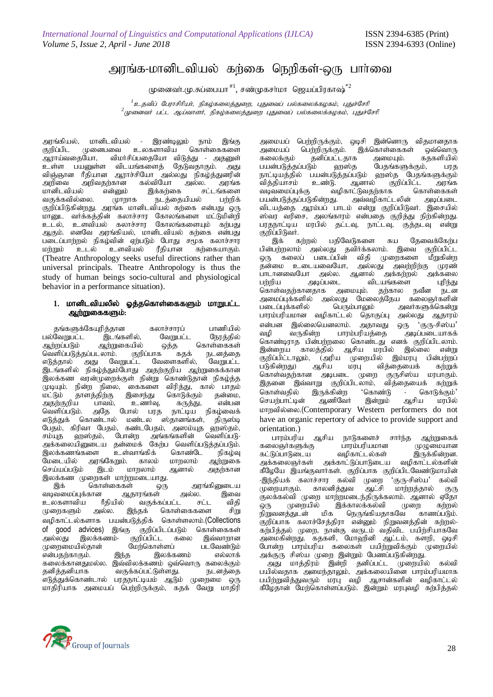## அரங்க-மானிடவியல் கர்கை நெறிகள்-ஒரு பார்வை

முனைவா்.மு.சுப்பையா  $^{\text{\#1}}$ , சண்முகசா்மா ஜெயப்பிரகாஷ் $^{\ast 2}$ 

<sup>1</sup> உதவிப் பேராசிரியர், நிகழ்கலைத்துறை, புதுவைப் பல்கலைக்கழகம், புதுச்சேரி <sup>2</sup> முனைவர் பட்ட ஆய்வாளர், நிகழ்கலைத்துறை புதுவைப் பல்கலைக்கழகம், புதுச்சேரி

அரங்கியல், மானிடவியல் - இரண்டிலும் நாம் இங்கு<br>குறிப்பிட முனைபவை உலகளாவிய கொள்கைகளை குறிப்பிட முனைபவை உலகளாவிய கொள்கைகளை<br>ஆராய்வதையோ, விமர்சிப்பதையோ விடுத்து - அதனுள் - விமர்சிப்பதையோ விடுத்து - அதனுள்<br>r விடயங்களைத் தேடுவதாகும். அது உள்ள பயனுள்ள விடயங்களைத் தேடுவதாகும். —……<br>விஞ்ஞான ரீதியான ஆராச்சியோ அல்லது நிகழ்த்துனரின்<br>அறிவை அறிவதற்கான கல்வியோ அல்ல. அரங்க அறிவை அறிவதற்கான கல்வியோ<br>மானிடவியல் என்னும் இக்கற்கை .<br>மானிடவியல் என்னும் இக்கற்கை சட்டங்களை<br>வகுக்கவில்லை. முாறாக நடத்தையியல் பற்றிக் வகுக்கவில்லை. முாறாக நடத்தையியல் பற்றிக் குறிப்பிடுகின்றது. அரங்க மானிடவியல் கற்கை என்பது ஒரு .<br>மாறுட வர்க்கத்தின் கலாச்சார கோலங்களை மட்டுமின்றி உடல், உளவியல் கலாச்சார கோலங்களையும் கற்பது அகும். எனவே அாங்கியல், மானிடவியல் கர்கை என்பது படைப்பாற்றல் நிகழ்வின் ஏற்படும் போது சமூக கலாச்சார<br>மற்றும் உடல் உளவியல் ரீகியான கற்கையாகும். ரீதியான கற்கையாகும். (Theatre Anthropology seeks useful directions rather than universal principals. Theatre Anthropology is thus the study of human beings socio-cultural and physiological behavior in a performance situation).

## 1. மானிடவியலில் ஓத்தகொள்கைகளும் மாறுபட்ட ஆற்றுகைகளும்:

தங்களுக்கேயுரித்தான கலாச்சாரப் பாணியில்<br>வேறுபட்ட இடங்களில், வேறுபட்ட நேரத்தில் பல்வேறுபட்ட இடங்களில்,<br>ஆற்றப்படும் ஆற்றுகையில் .<br>யில் ஒத்த கொள்கைகள்<br>குறிப்பாக கதக் நடனத்தை வெளிப்படுத்தப்படலாம். குறிப்பாக கதக் நடனத்தை<br>எடுத்தால் அது வேறுபட்ட வேளைகளில், வேறுபட்ட அது வேறுபட்ட வேளைகளில், இடங்களில் நிகழ்த்தும்போது அதற்குறிய ஆற்றுகைக்கான இலக்கண வரன்முறைக்குள் நின்று கொண்டுதான் நிகழ்த்த<br>முடியும். நின்ற நிலை, கைகளை விரித்து, கால் பாதம் முடியும். நின்ற நிலை, கைகளை விரித்து, கால் பாதம்<br>மட்டும் காளக்கிற்கு இசைந்து கொடுக்கும் கன்மை. .<br>`தாளத்திற்கு இசைந்து கொடுக்கும் தன்மை,<br>ப பாவம், உணர்வு, கருத்து, என்பன அதற்குறிய பாவம், உணர்வு, கருத்து,<br>வெளிப்படும். அதே போல் பரத நாட்டிய வெளிப்படும். அதே போல் பரத் நாட்டிய நிகழ்வைக்<br>எடுத்துக் கொண்டால் மண்டல ஸ்தானங்கள், திருஸ்டி கொண்டால் மண்டல ஸ்தானங்கள், பேதம், கிரிவா பேதம், கண்டபேதம், அஸம்யுத ஹஸ்தம்,<br>சம்யுத ஹஸ்தம், போன்ற அங்கங்களின் வெளிப்படு-சம்யுத ஹஸ்தம், போன்ற அங்கங்களின் வெளிப்படு-அக்கலையினுடைய தன்மைக் கேற்ப வெளிப்படுத்தப்படும். இலக்கணங்களை உள்வாங்கிக் கொண்டே நிகழ்வு<br>மேடையில் அரங்கேறும். காலம் மாறலாம் ஆற்றுகை அரங்கேறும். காலம் மாறலாம் ஆற்றுகை<br>இடம் மாறலாம் ஆனால் அதற்கான செய்யப்படும்

இலக்கண முறைகள் மாற்றமடையாது.<br>அக் கொள்கைகள் எட .<br>கள் ஒரு அரங்கினுடைய<br>ஆதாரங்கள் அல்ல. இவை வடிவமைப்புக்கான ஆதாரங்கள் அல்ல. இவை<br>உலகளாவிய ரீதியில் வகுக்கப்பட்ட சட்ட விதி உலகளாவிய ரீதியில் வகுக்கப்பட்ட சட்ட விதி<br>முறைகளும் அல்ல. இந்தக் கொள்கைகளை சிறு கொள்கைகளை வழிகாட்டல்களாக பயன்படுத்திக் கொள்ளலாம்.(Collections of good advices) இங்கு குறிப்பிடப்படும் கொள்கைகள்<br>அல்லது இலக்கணம்- குறிப்பிட்ட கலை இவ்வாறான குறிப்பிட்ட கலை இவ்வாறான<br>மேற்கொள்ளப் படவேண்டும் Kiwikapy;jhd; Nkw;nfhs ;sg; glNtz;Lk; என்பதற்காகும். fiyf;fhdJky;y. ,t;tpyf;fzk; xt ;nthU fiyf;Fk; jdpj;jdpahf tFf;fg;gl;Ls ;sJ. eldj;ij .<br>எடுத்துக்கொண்டால் பரதநாட்டியம் ஆடும் மாதிரியாக அமையப் பெற்றிருக்கும், கதக் வேறு மாதிரி

அமையப் பெற்றிருக்கும், ஒடிசி இன்னொரு விதமானதாக<br>அமையப் பெற்றிருக்கும். இக்கொள்கைகள் ஒவ்வொரு .<br>அமையப் பெற்றிருக்கும். இக்கொள்கைகள் ஒவ்வொரு<br>கலைக்கும் தனிப்பட்டதாக அமையும். கதகளியில் .<br>தனிப்பட்டதாக அமையும். கத்களியில்<br>}ம் ஹஸ்த பேதங்களுக்கும், பரத பயன்படுத்தப்படும் நாட்டியத்தில் பயன்படுத்தப்படும் ஹஸ்த பேதங்களுக்கும்<br>வித்தியாசம் உண்டு. ஆனால் குறிப்பிட்ட அரங்க வித்தியாசம் உண்டு. ஆனால் குறிப்பிட்ட அரங்க<br>வடிவமைப்புக்கு வழிகாட்டுவதற்காக கொள்கைகள் .<br>வழிகாட்டுவதற்காக கொள்கைகள்<br>து. அவ்வழிகாட்டலின் அடிப்படை பயன்படுத்தப்படுகின்றது. விடயத்தை ஆரம்பப் பாடம் என்று குறிப்பிடுவர். இசையில் ஸ்வர வரிசை, அலங்காரம் என்பதை குறித்து நிற்கின்றது.<br>பரதநாட்டிய மரபில் தட்டவு, நாட்டவு, குத்தடவு என்று  $\overline{\text{u}}$ குறிப்பிடுவர்.<br>இக் கற்றல்

இக் கற்றல் பதிவேடுகளை சுய தேவைக்கேற்ப பின்பற்றலாம் அல்லது தவிர்க்கலாம். இவை குறிப்பிட்ட ஒரு கலைப் படைப்பின் விதி முறைகளை மீறுகின்ற<br>தன்மை உடையவையோ, அல்லது அவற்றிற்கு முரண் தன்மை உடையவையோ, அல்லது அவற்றிற்கு<br>பாடானவையோ அல்ல. அனால் அக்கர்மல் த ் பாடானவையோ அல்ல. ஆனால் அக்கற்றல் அக்கலை<br>பற்றிய அடிப்படை விடயங்களை புரிந்து பற்றிய அடிப்படை விடயங்களை<br>கொள்வகர்கானகாக அமையும். கர்கால கொள்வதற்கானதாக அமையும். தற்கால நவீன நடன<br>அமைப்புக்களில் அல்லது மேலைத்தேய கலைஞர்களின் அமைப்புக்களில் அல்லது மேலைத்தேய கலைஞர்களின்<br>படைப்புக்களில் பெரும்பாலும் அவர்களுக்கென்று அவர்களுக்கென்று பாரம்பரியமான வழிகாட்டல் தொகுப்பு அல்லது ஆதாரம் vd;gd ,y;iynadyhk;. mjhtJ xU "FU-rp];a" அடிப்படையாகக் கொண்டிராத பின்பற்றலை கொண்டது எனக் குறிப்பிடலாம்.<br>இன்றைய காலத்தில் ஆசிய மரபில் இல்லை என்று இன்றைய காலத்தில் ஆசிய மரபில் இல்லை என்று<br>குறிப்பிட்டாலும், (அரிய முறையில் இம்மரபு பின்பற்றப் .<br>குறிப்பிட்டாலும், (அரிய முறையில் இம்மரபு பின்பற்றப்<br>படுகின்றது) ஆசிய மரபு வித்தையைக் கற்றுக் வித்தையைக் கொள்வதற்கான துடிபடை முறை குருசிஸ்ய மரபாகும்.<br>இதனை இவ்வாறு குறிப்பிடலாம், வித்தையைக் கற்றுக் இதனை இவ்வாறு குறிப்பிடலாம், வித்தையைக் கொள்வதில் இருக்கின்ற 'கொண்டு - கொடுக்கும்'<br>செயற்பாட்டின் ஆணிவேர் இன்றும் ஆசிய மரபில் செயற்பாட்டின் ஆணிவேர் இன்றும் ஆசிய மரபில் மாறவில்லை.(Contemporary Western performers do not have an organic repertory of advice to provide support and orientation.)

ஆசிய நாடுகளைச் சார்ந்த ஆற்றுகை<mark>க்</mark><br>த பாரம்பரியமான (மமுமையான ் கலைஞர்களுக்கு - பாரம்பரியமான - முழுமையான<br>கட்டுப்பாடுடைய - வமிகாட்டல்கள் - இருக்கின்றன. ்கட்டுப்பாடுடைய வழிகாட்டல்கள் இருக்கின்றன.<br>அக்கலைஞர்கள் அக்காட்டுப்பாடுடைய வமிகாட்டல்களின் அக்காட்டுப்பாடுடைய கீழேயே இயங்குவார்கள். குறிப்பாக குறிப்பிடவேண்டுமாயின்<br>-இந்தியக் கலாச்சார கல்வி முறை 'குரு-சிஸ்ய' கல்வி -இந்தியக் கலாச்சார கல்வி முறை 'குரு-சிஸ்ய' கல்வி<br>முறையாகும். காலனித்துவ ஆட்சி மாற்றத்தால் குரு ………<sub>…</sub><br>காலனித்துவ ஆட்சி மாற்றத்தால் குரு Fyf;fy;tp Kiw khw;wkile ;jpUf;fyhk;. Mdhy; VNjh ஒரு முறையில் இக்காலக்கல்வி முறை கற்றல்<br>நிறுவனக்குடன் மிக நெருங்கியதாகவே காணப்படும். நெருங்கியதாகவே குறிப்பாக கலாச்சேத்திரா என்னும் நிறுவனத்தின் கற்றல்-கற்பித்தல் முறை, நான்கு வருடம் வதிவிட பயிற்சியாகவே அமைகின்றது. கதகளி, மோஹினி ஆட்டம், களறி, ஒடிசி போன்ற பாரம்பரிய கலைகள் பயிற்றுவிக்கும் முறையில் அக்குரு சிஸ்ய முறை இன்றும் பேணப்படுகின்றது.

அது மாத்திரம் இன்றி தனிப்பட்ட முறையில் கல்வி பயில்வதாக அமைந்தாலும், அக்கலையினை பாரம்பரியமாக பயிற்றுவித்துவரும் மரபு வழி ஆசான்களின் வழிகாட்டல் கீழேதான் மேற்கொள்ளப்படும். இன்றும் மரபுவழி கற்பித்தல்

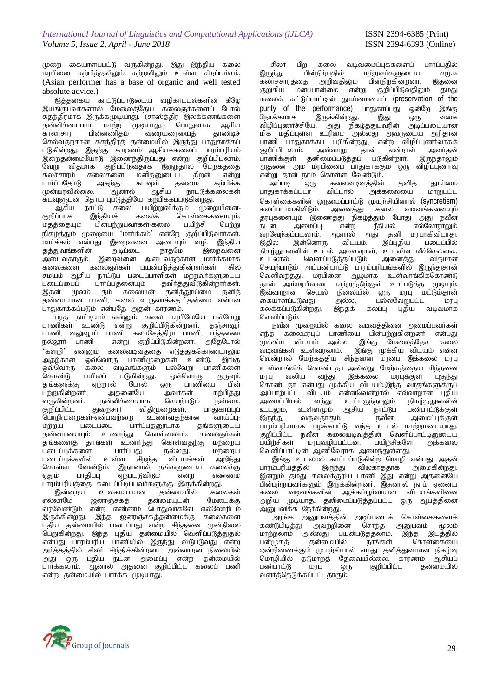முறை கையாளப்பட்டு வருகின்றது. இது இந்திய கலை மரபினை கற்பித்தலிலும் கற்றலிலும் உள்ள சிறப்பம்சம். (Asian performer has a base of organic and well tested absolute advice.)

இத்தகைய காட்டுப்பாடுடைய வழிகாட்டல்களின் கீழே இயங்குபவர்களால் மேலைத்தேய கலைஞர்களைப் போல் "சுதந்திரமாக இருக்கமுடியாது. (சாஸ்த்திர இலக்கணங்களை<br>'தன்னிச்சையாக மாற்ற முடியாது.) பொதுவாக ஆசிய தன்னிச்சையாக மாற்ற முடியாது.) பொதுவாக ஆசிய<br>காலாசார பின்னணிதம் வரையரையைத் தாண்டிச் ,<br>`வரையரையைத் செல்வதற்கான சுகந்திரத் தன்மையில் இருந்து பாதுகாக்கப் படுகின்றது. இதற்கு காரணம் ஆசியக்கலைப் பாரம்பரியம்  $\widetilde{\mathfrak{G}}$ றைதன்மையோடு இணைந்திருப்பது என்று குறிப்பிடலாம். வேறு விதமாக குறிப்பிடுவதாக இருந்தால் மேற்கத்தை கலச்சாரம் கலைகளை மனிதனுடைய திறன் என்று<br>பார்ப்பதோடு அதற்கு கடவுள் தன்மை கற்பிக்க பார்ப்பதோடு அதற்கு கடவுள் தன்மை<br>முன்வரவில்லை. ஆனால் ஆசிய நாட்( நாட்டுக்கலைகள்

்கடவுளுடன் தொடர்புபடுத்தியே கற்பிக்கப்படுகின்றது.<br>ஆசிய நாட்டு கலை பயிற்றுவிக்கும் முறையினை-ஆசிய நாட்டு கலை பயிற்றுவிக்கும்<br>குறிப்பாக இந்தியக் கலைக் கொள் ்கொள்கைகளையும்,<br>பயிற்சி பெற்று மதத்தையும் பின்பற்றுபவர்கள்-கலை பயிற்சி பெற்று நிகழ்த்தும் முறையை 'மார்க்கம்' என்றே குறிப்பிடுவார்கள். .<br>மார்க்கம் என்பது இறைவனை அடையும் வழி. இந்திய<br>கக்குவங்களின் அடிப்டை நாகமே இறைவனை தத்துவங்களின் miltjhFk;. ,iwtid miltjw;fhd khHf;fkhf .<br>கலைகளை கலைஞர்கள் பயன்படுத்துகின்றார்கள். சில சமயம் ஆசிய நாட்டுப் படைப்பாளிகள் மற்றவர்களுடைய<br>படைப்பைப் பார்ப்பதனையும் தவிர்த்துவிடுகின்றார்கள். தவிர்த்துவிடுகின்றார்கள். இதன் மூலம் தம் கலையின் தனித்தூய்மை தனித்  $\overline{g}$ ன்மையான பாணி, கலை உருவாக்கத தன்மை என்பன .<br>பாதுகாக்கப்படும் என்பதே அதன் காரணம்.

.<br>பரத நாட்டியம் என்னும் கலை மரபிலேயே பல்வேறு பாணிகள் உண்டு என்று குறிப்பிடுகின்றனர். தஞ்சாவூர் பாணி, வலுவூர்ப் பாணி, கலாசேத்திரா பாணி, பந்தணை நல்லூர் பாணி என்று குறிப்பிடுகின்றனர். அதேபோல் 'களறி' என்னும் கலைவடிவத்தை எடுத்துக்கொண்டாலும்<br>அகற்கான வைவொரு பாணிமுறைகள் உண்டு. இங்க அதந்கான ஒவ்வொரு பாணிமுறைகள் உண்டு.<br>ஒவ்வொரு கலை வடிவங்களும் பல்வேறு பாஎ ுவ்வொரு கலை வடிவங்களும் பல்வேறு பாணிகளை<br>கொண்டு பயிலப் படுகின்றது. ஒவ்வொரு குருவும் பிலப் படுகின்றது. ஒவ்வொரு குருவும்<br>ஏற்றால் போல் ஒரு பாணியை பின் தங்களுக்கு ஏற்றால் போல் ஒரு பாணியை பின்<br>பற்றுகின்றனர், அதனையே அவர்கள் கற்பித்து ்பற்றுகின்றனர், அதனையே அவர்கள் கற்பித்து<br>வருகின்றனர். தன்னிச்சையாக செயற்படும் தன்மை, வருகின்றனர். தன்னிச்சையாக செயற்படும் தன்மை,<br>குறிப்பிட்ட துறைசார் விதிமுறைகள், பாகுகாப்புப் விதிமுறைகள், பாதுகாப்புப்<br>• ஊளர்வதற்கான வாய்ப்பு-பொறிமுறைகள்-என்பவற்றை உணர்வதற்கான வாய்ப்பு-<br>மற்றய படைப்பை பார்ப்பதனூடாக கங்களுடைய மற்றய படைப்பை பார்ப்பதனூடாக தங்களுடைய<br>தன்மையையும் உணாந்து கொள்ளலாம். கலைஞர்கள் ் உணாந்து கொள்ளலாம். கலைஞர்கள்<br>ங்கள் உணர்ந்து கொள்வதற்கு மற்றைய .<br>தங்களைத் தாங்கள் உணர்ந்து கொள்வதற்கு மற்றைய<br>படைப்பக்களை பார்ப்பது நல்லது. மற்றைய .<br>படைப்புக்களை பார்ப்பது நல்லது.<br>படைப்புக்களில் உள்ள சிறந்த விடயங்கள் உள்ள சிறந்த விடயங்கள் அறிந்து<br>ம். இகானால் கங்களடைய கலைக்க கொள்ள வேண்டும். இதானால் தங்களுடைய கலைக்கு<br>ஏதும் பாதிப்பு ஏற்பட்டுவிடும் என்ற எண்ணம் ஏற்பட்டுவிடும்

பாரம்பரியத்தை கடைப்பிடிப்பவர்களுக்கு இருக்கின்றது.<br>இன்றைய உலகமயமான தன்மையில் கலைகள் , இன்றைய உலகமயமான தன்மையில் கலைகள்<br>எல்லாமே ஜனரஞ்சகத் தன்மையுடன் மேடைக்கு தன்மையுடன் வரவேண்டும் என்ற எண்ணம் பொதுவாகவே எல்லோரிடம் இருக்கின்றது. இந்த ஜனரஞ்சகத்தன்மைக்கு கலைகளை புதிய தன்மையில் படைப்பது என்ற சிந்தனை முன்நிலை பெறுகின்றது. இந்த புதிய தன்மையில் வெளிப்படுத்துதல் என்பது பாரம்பரிய பாணியில் இருந்து விடுபடுவது என்ற அர்த்தத்தில் சிலர் சிந்திக்கின்றனர். அவ்வாறன நிலையில் அது ஒரு புதிய நடன அமைப்பு என்ற தன்மையில் பார்க்கலாம். ஆனால் அதனை குறிப்பிட்ட கலைப் பணி என்ற தன்மையில் பார்க்க முடியாது.

் சிலர் பிற கலை வடிவமைப்புக்களைப் பார்ப்பதில்<br>இருந்து பின்நிற்பதில் மற்றவர்களுடைய சமூக இருந்து பின்நிற்பதில் மற்றவர்களுடைய சமூக<br>கலாச்சாரக்கை அறிவகிலும் பின்நிற்கின்றனர். இதனை ்கலாச்சாரத்தை அறிவதிலும் பின்நிற்கின்றனர்.<br>குறுகிய மனப்பான்மை என்று குறிப்பிடுவதிலு மன்ப்பான்மை என்று குறிப்பிடுவதிலும் தமது கலைக் கட்டுப்பாட்டின் தூய்மையைப் (preservation of the purity of the performance) பாதுகாப்பது ஒன்றே இங்கு<br>நோக்கமாக இருக்கின்றது. இது ஒரு வகை நோக்கமாக இருக்கின்றது. இது ஒரு வகை விழிப்புணர்ச்சியே. அது நிகழ்த்துபவரின் அடிப்படையான மிக மதிப்புள்ள உரிமை அல்லது அவருடைய அரிதான பாணி பாதுகாக்கப் படுகின்றது, என்ற விழிப்புணர்வாகக்<br>குறிப்பிடலாம். அவ்வாறு தான் என்றால் அவர்தன் குறிப்பிடலாம். அவ்வாறு தான் என்றால் அவர்தன் பாணிக்குள் தனிமைப்படுத்தப் படுகின்றார். இருந்தாலும் அதனை அம் மரபினைப் பாதுகாக்கும் ஒரு விழிப்புணர்வு ் என்று தான் நாம் கொள்ள வேண்டும்.<br>அப்படி ஒரு கலைவடிவத்தின்

ஒரு கலைவடிவத்தின் தனித் தூய்மை<br>படா விட்டால் அக்கலையை மாறுபட்ட பாதுகாக்கப்படா விட்டால் அக்கலையை மாறுபட்ட கொள்கைகளின் ஒருமைப்பாட்டு முயற்சியினால் (syncretism)<br>கலப்படமாகிவிடும். அனைக்குட கலை வடிவங்களையும் கலப்படமாகிவி<u>டு</u>ம். தரபுகளையும் இணைத்து நிகழ்த்தும் போது அது நவீன<br>நடன அமைப்பு என்ற ரீதியல் எல்லோராலும் ் என்ற ரீதியல் எல்லோராலும்<br>உள்ளல் அது தனி மரபாகிவிடாது. வரவேற்கப்படலாம். ஆனால் அது தனி மரபாகிவிடாது.<br>இதில் இன்னொரு விடயம். இப்புதிய படைப்பில் இன்னொரு .<br>நிகழ்துபவனின் உடல் அசைவுகள், உடலின் வீச்செல்லை,<br>உடலால் வெளிப்படுத்தப்படும் அனைத்து விகமான வெளிப்படுத்தப்படும் செயற்பாடும் அப்பண்பாட்டு பாரம்பரியங்களில் இருந்துதான் வெளிவந்தது. மரபினை ஆழமாக உள்வாங்கிக்கொண்டு தான் அம்மரபிணை மாற்றத்திற்குள் உட்படுத்த முடியும்.<br>இவ்வாறான செயல் நிலையில் ஒரு மரபு மட்டும்தான் இவ்வாறான செயல் நிலையில் ஒரு மரபு மட்டும்தான் கையாளப்படுவது அல்ல, பல்லவேறுபட்ட மரபு கலக்கப்படுகின்றது. இந்தக் கலப்பு புதிய வடிவமாக வெளிப்படும்.

நவீன முறையில் கலை வடிவத்தினை அமைப்பவர்கள் எந்த கலைமரபுப் பாணியை பின்பற்றுகின்றனர் என்பது முக்கிய விடயம் அல்ல. இங்கு மேலைத்தேச கலை<br>வடிவங்கள் உள்வாலாம். இங்கு முக்கிய விடயம் என்ன இங்கு முக்கிய விடயம் என்ன வென்றால் மேற்கத்திய சிந்தனை மரபை இக்கலை மரபு உள்வாங்கிக் கொண்டதா—அல்லது மேற்கத்தைய சிந்தனை<br>மரபு வலிய வந்து இக்கலை மரபுக்குள் பகுந்து இக்கலை கொண்டதா என்பது முக்கிய விடயம்.இந்த வாதங்களுக்குப்<br>அப்பார்பட்ட விடயம் என்னவென்றால் எவ்வாறான புதிய அப்பாற்பட்ட விடயம் என்னவென்றால் எவ்வாறான புதிய<br>அமைப்பியல் வந்து உட்புகுந்தாலும் நிகழ்த்துனனின் அமைப்பியல் வந்து உட்புகுந்தாலும் நிகழ்த்துனனின்<br>உடலும், உள்ளமும் ஆசிய நாட்டுப் பண்பாட்டுக்குள் .<br>உடலும், உள்ளமும் ஆசிய நாட்டுப்<br>இருந்து வருவதாகும். நவீன ,அமைப்புக்குள்  $\overline{\omega}$ ் $\overline{\omega}$ ; குறிப்பிட்ட நவீன கலைவடிவத்தின் வெளிப்பாட்டினுடைய<br>பயிற்சிகள் மரபுவழிப்பட்டன. பயிற்சிகளே அக்கலை மரபுவழிப்பட்டன. வெளிப்பாட்டின் ஆணிவோாக அமைந்துள்ளது.

, இங்கு உடலால் காட்டப்படுகின்ற மொழி என்பது அதன்<br>பாரம்பரியக்கில் இருந்து விலகாகதாக அமைகின்றது இருந்து விலகாததாக அமைகின்றது. இன்றும் தமது கலைக்குரிய பாணி இது என்று அதனையே பின்பற்றுப்வர்களும் இருக்கின்றனர். இதனால் நாம் ஏனைய<br>கலை வடிவங்களின் அக்கப்பர்வமான விடயங்களினை .<br>「வடிவங்களின் ஆக்கப்பூர்வமான விடயங்களினை அறிய முடியாத, தனிமைப்படுத்தப்பட்ட ஒரு ஆபத்தினை

அனுபவிக்க நேர்கின்றது.<br>அரங்க அனுபவத்தின் றுபவத்தின் அடிப்படைக் கொள்கைகளைக்<br>அவற்றினை சொந்த அனுபவம் மூலம் ்கண்டுபிடித்து அவற்றினை சொந்த அனுபவம் மூலம்<br>மாற்றலாம் அல்லது பயன்படுத்தலாம். இந்த இடத்தில் மாற்றலாம் அல்லது பயன்படுத்தலாம். இந்த இடத்தில்<br>பன்முகத் தன்மையில் நாங்கள் கொள்கையை தன்மையில் ஒன்றிணைக்கும் முயற்சியால் எமது தனித்துவமான நிகழ்வு<br>மொழியில் தடுமாறத் தேவையில்லை. காரணம் ஆசியப் மொழியில் தடுமாறத் தேவையில்லை. காரணம் ஆசியப்<br>பண்பாட்டு மரபு ஒரு குறிப்பிட்ட தன்மையில் கன்மையில் வளர்த்தெடுக்கப்பட்டதாகும்.